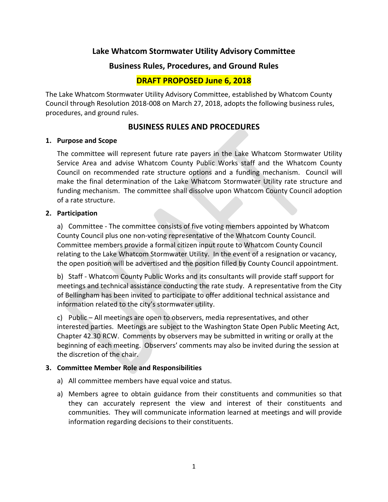# **Lake Whatcom Stormwater Utility Advisory Committee**

## **Business Rules, Procedures, and Ground Rules**

# **DRAFT PROPOSED June 6, 2018**

The Lake Whatcom Stormwater Utility Advisory Committee, established by Whatcom County Council through Resolution 2018-008 on March 27, 2018, adopts the following business rules, procedures, and ground rules.

## **BUSINESS RULES AND PROCEDURES**

#### **1. Purpose and Scope**

The committee will represent future rate payers in the Lake Whatcom Stormwater Utility Service Area and advise Whatcom County Public Works staff and the Whatcom County Council on recommended rate structure options and a funding mechanism. Council will make the final determination of the Lake Whatcom Stormwater Utility rate structure and funding mechanism. The committee shall dissolve upon Whatcom County Council adoption of a rate structure.

### **2. Participation**

a) Committee - The committee consists of five voting members appointed by Whatcom County Council plus one non-voting representative of the Whatcom County Council. Committee members provide a formal citizen input route to Whatcom County Council relating to the Lake Whatcom Stormwater Utility. In the event of a resignation or vacancy, the open position will be advertised and the position filled by County Council appointment.

b) Staff - Whatcom County Public Works and its consultants will provide staff support for meetings and technical assistance conducting the rate study. A representative from the City of Bellingham has been invited to participate to offer additional technical assistance and information related to the city's stormwater utility.

c) Public – All meetings are open to observers, media representatives, and other interested parties. Meetings are subject to the Washington State Open Public Meeting Act, Chapter 42.30 RCW. Comments by observers may be submitted in writing or orally at the beginning of each meeting. Observers' comments may also be invited during the session at the discretion of the chair.

### **3. Committee Member Role and Responsibilities**

- a) All committee members have equal voice and status.
- a) Members agree to obtain guidance from their constituents and communities so that they can accurately represent the view and interest of their constituents and communities. They will communicate information learned at meetings and will provide information regarding decisions to their constituents.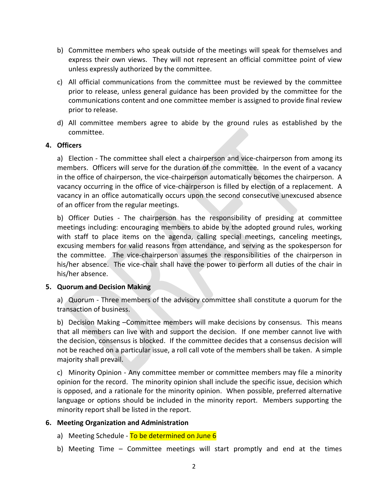- b) Committee members who speak outside of the meetings will speak for themselves and express their own views. They will not represent an official committee point of view unless expressly authorized by the committee.
- c) All official communications from the committee must be reviewed by the committee prior to release, unless general guidance has been provided by the committee for the communications content and one committee member is assigned to provide final review prior to release.
- d) All committee members agree to abide by the ground rules as established by the committee.

### **4. Officers**

a) Election - The committee shall elect a chairperson and vice-chairperson from among its members. Officers will serve for the duration of the committee. In the event of a vacancy in the office of chairperson, the vice-chairperson automatically becomes the chairperson. A vacancy occurring in the office of vice-chairperson is filled by election of a replacement. A vacancy in an office automatically occurs upon the second consecutive unexcused absence of an officer from the regular meetings.

b) Officer Duties - The chairperson has the responsibility of presiding at committee meetings including: encouraging members to abide by the adopted ground rules, working with staff to place items on the agenda, calling special meetings, canceling meetings, excusing members for valid reasons from attendance, and serving as the spokesperson for the committee. The vice-chairperson assumes the responsibilities of the chairperson in his/her absence. The vice-chair shall have the power to perform all duties of the chair in his/her absence.

#### **5. Quorum and Decision Making**

a) Quorum - Three members of the advisory committee shall constitute a quorum for the transaction of business.

b) Decision Making –Committee members will make decisions by consensus. This means that all members can live with and support the decision. If one member cannot live with the decision, consensus is blocked. If the committee decides that a consensus decision will not be reached on a particular issue, a roll call vote of the members shall be taken. A simple majority shall prevail.

c) Minority Opinion - Any committee member or committee members may file a minority opinion for the record. The minority opinion shall include the specific issue, decision which is opposed, and a rationale for the minority opinion. When possible, preferred alternative language or options should be included in the minority report. Members supporting the minority report shall be listed in the report.

### **6. Meeting Organization and Administration**

- a) Meeting Schedule To be determined on June 6
- b) Meeting Time Committee meetings will start promptly and end at the times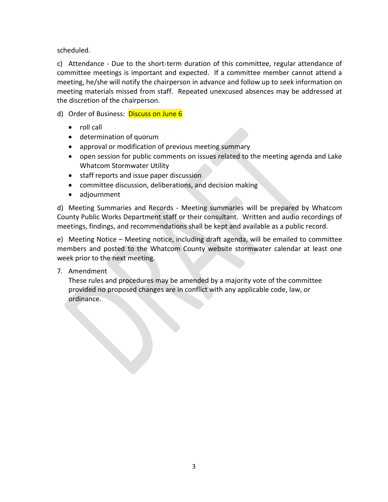scheduled.

c) Attendance - Due to the short-term duration of this committee, regular attendance of committee meetings is important and expected. If a committee member cannot attend a meeting, he/she will notify the chairperson in advance and follow up to seek information on meeting materials missed from staff. Repeated unexcused absences may be addressed at the discretion of the chairperson.

- d) Order of Business: Discuss on June 6
	- roll call
	- determination of quorum
	- approval or modification of previous meeting summary
	- open session for public comments on issues related to the meeting agenda and Lake Whatcom Stormwater Utility
	- staff reports and issue paper discussion
	- committee discussion, deliberations, and decision making
	- adjournment

d) Meeting Summaries and Records - Meeting summaries will be prepared by Whatcom County Public Works Department staff or their consultant. Written and audio recordings of meetings, findings, and recommendations shall be kept and available as a public record.

e) Meeting Notice – Meeting notice, including draft agenda, will be emailed to committee members and posted to the Whatcom County website stormwater calendar at least one week prior to the next meeting.

7. Amendment

These rules and procedures may be amended by a majority vote of the committee provided no proposed changes are in conflict with any applicable code, law, or ordinance.